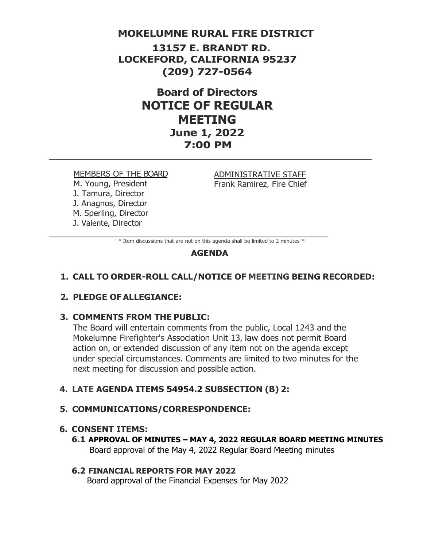### **MOKELUMNE RURAL FIRE DISTRICT**

**13157 E. BRANDT RD. LOCKEFORD, CALIFORNIA 95237 (209) 727-0564**

> **Board of Directors NOTICE OF REGULAR MEETING June 1, 2022 7:00 PM**

#### MEMBERS OF THE BOARD

M. Young, President J. Tamura, Director J. Anagnos, Director M. Sperling, Director J. Valente, Director

ADMINISTRATIVE STAFF Frank Ramirez, Fire Chief

" \* Item discussions that are not on this agenda shall be limited to 2 minutes"\*

### **AGENDA**

### **1. CALL TO ORDER-ROLL CALL/NOTICE OF MEETING BEING RECORDED:**

### **2. PLEDGE OFALLEGIANCE:**

#### **3. COMMENTS FROM THE PUBLIC:**

The Board will entertain comments from the public, Local 1243 and the Mokelumne Firefighter's Association Unit 13, law does not permit Board action on, or extended discussion of any item not on the agenda except under special circumstances. Comments are limited to two minutes for the next meeting for discussion and possible action.

#### **4. LATE AGENDA ITEMS 54954.2 SUBSECTION (B) 2:**

#### **5. COMMUNICATIONS/CORRESPONDENCE:**

#### **6. CONSENT ITEMS:**

**6.1 APPROVAL OF MINUTES – MAY 4, 2022 REGULAR BOARD MEETING MINUTES** Board approval of the May 4, 2022 Regular Board Meeting minutes

#### **6.2 FINANCIAL REPORTS FOR MAY 2022**

Board approval of the Financial Expenses for May 2022